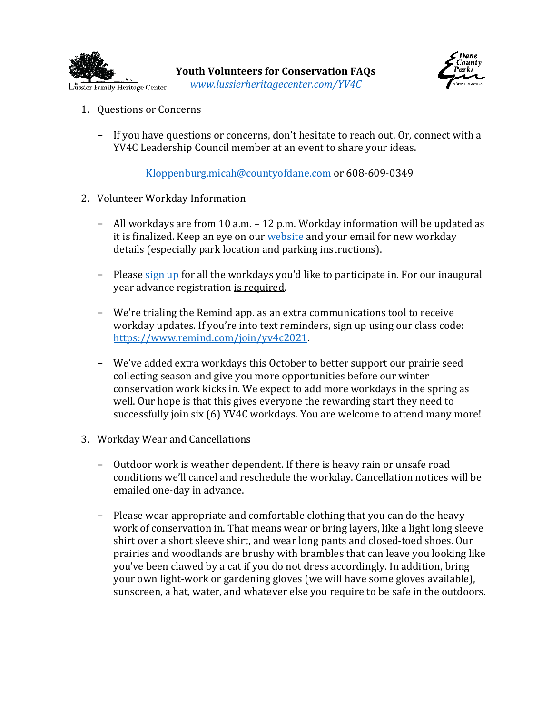

**Youth Volunteers for Conservation FAQs** *[www.lussierheritagecenter.com/YV4C](https://www.lussierheritagecenter.com/YV4C)*



- 1. Questions or Concerns
	- − If you have questions or concerns, don't hesitate to reach out. Or, connect with a YV4C Leadership Council member at an event to share your ideas.

[Kloppenburg.micah@countyofdane.com](mailto:Kloppenburg.micah@countyofdane.com) or 608-609-0349

- 2. Volunteer Workday Information
	- − All workdays are from 10 a.m. 12 p.m. Workday information will be updated as it is finalized. Keep an eye on our [website](https://www.lussierheritagecenter.com/YV4C) and your email for new workday details (especially park location and parking instructions).
	- − Please [sign up](https://signup.com/go/hoMiuvS) for all the workdays you'd like to participate in. For our inaugural year advance registration is required.
	- − We're trialing the Remind app. as an extra communications tool to receive workday updates. If you're into text reminders, sign up using our class code: [https://www.remind.com/join/yv4c2021.](https://www.remind.com/join/yv4c2021)
	- − We've added extra workdays this October to better support our prairie seed collecting season and give you more opportunities before our winter conservation work kicks in. We expect to add more workdays in the spring as well. Our hope is that this gives everyone the rewarding start they need to successfully join six (6) YV4C workdays. You are welcome to attend many more!
- 3. Workday Wear and Cancellations
	- − Outdoor work is weather dependent. If there is heavy rain or unsafe road conditions we'll cancel and reschedule the workday. Cancellation notices will be emailed one-day in advance.
	- − Please wear appropriate and comfortable clothing that you can do the heavy work of conservation in. That means wear or bring layers, like a light long sleeve shirt over a short sleeve shirt, and wear long pants and closed-toed shoes. Our prairies and woodlands are brushy with brambles that can leave you looking like you've been clawed by a cat if you do not dress accordingly. In addition, bring your own light-work or gardening gloves (we will have some gloves available), sunscreen, a hat, water, and whatever else you require to be safe in the outdoors.